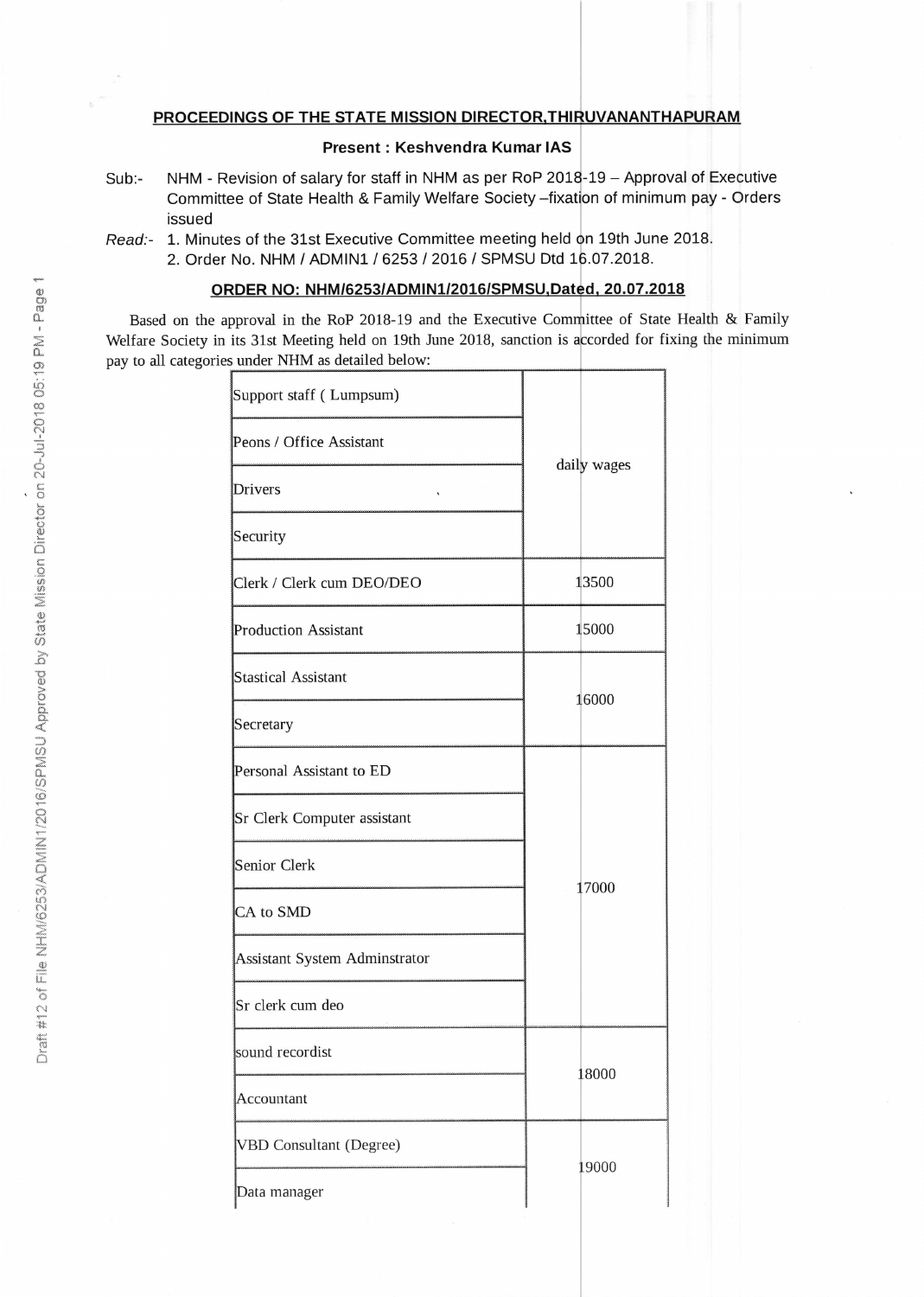## PROCEEDINGS OF THE STATE MISSION DIRECTOR, THIRUVANANTHAPURAM

## Present : Keshvendra Kumar IAS

- Sub:- NHM Revision of salary for staff in NHM as per RoP 2018-19 Approval of Executive Committee of State Health & Family Welfare Society –fixation of minimum pay - Orders issued
- Read:- 1. Minutes of the 31st Executive Committee meeting held on 19th June 2018. 2. Order No. NHM / ADMIN1 / 6253 / 2016 / SPMSU Dtd 16.07.2018.

## ORDER NO: NHM/6253/ADMIN1/2016/SPMSU, Dated, 20.07.2018

Based on the approval in the RoP 2018-19 and the Executive Committee of State Health & Family Welfare Society in its 31st Meeting held on 19th June 2018, sanction is accorded for fixing the minimum pay to all categories under NHM as detailed below:

| Support staff (Lumpsum)        |       |             |  |
|--------------------------------|-------|-------------|--|
| Peons / Office Assistant       |       |             |  |
| <b>Drivers</b>                 |       | daily wages |  |
| Security                       |       |             |  |
| Clerk / Clerk cum DEO/DEO      |       | 13500       |  |
| <b>Production Assistant</b>    |       | 15000       |  |
| <b>Stastical Assistant</b>     |       | 16000       |  |
| Secretary                      |       |             |  |
| Personal Assistant to ED       | 17000 |             |  |
| Sr Clerk Computer assistant    |       |             |  |
| Senior Clerk                   |       |             |  |
| CA to SMD                      |       |             |  |
| Assistant System Adminstrator  |       |             |  |
| Sr clerk cum deo               |       |             |  |
| sound recordist                | 18000 |             |  |
| Accountant                     |       |             |  |
| <b>VBD Consultant (Degree)</b> |       | 19000       |  |
| Data manager                   |       |             |  |